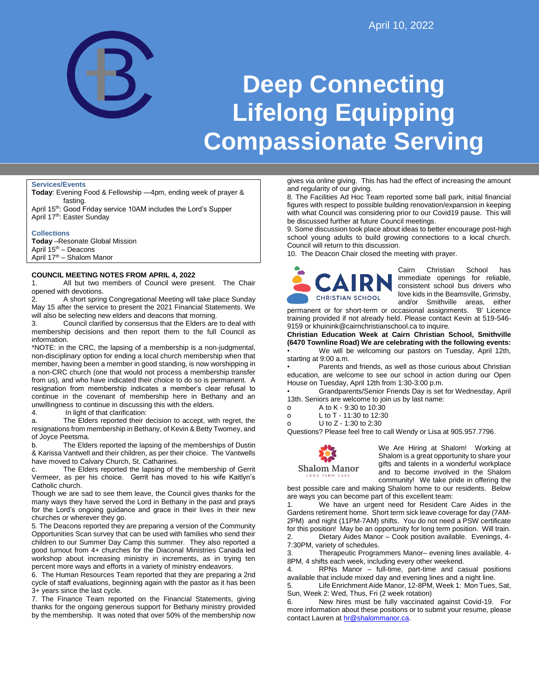

# **Deep Connecting Lifelong Equipping Compassionate Serving**

#### **Services/Events**

**Today**: Evening Food & Fellowship —4pm, ending week of prayer & fasting.

April 15<sup>th</sup>: Good Friday service 10AM includes the Lord's Supper April 17<sup>th</sup>: Easter Sunday

#### **Collections**

**Today** –Resonate Global Mission April 15th – Deacons April 17<sup>th</sup> – Shalom Manor

#### **COUNCIL MEETING NOTES FROM APRIL 4, 2022**

1. All but two members of Council were present. The Chair opened with devotions.

2. A short spring Congregational Meeting will take place Sunday May 15 after the service to present the 2021 Financial Statements. We will also be selecting new elders and deacons that morning.

3. Council clarified by consensus that the Elders are to deal with membership decisions and then report them to the full Council as information.

\*NOTE: in the CRC, the lapsing of a membership is a non-judgmental, non-disciplinary option for ending a local church membership when that member, having been a member in good standing, is now worshipping in a non-CRC church (one that would not process a membership transfer from us), and who have indicated their choice to do so is permanent. A resignation from membership indicates a member's clear refusal to continue in the covenant of membership here in Bethany and an unwillingness to continue in discussing this with the elders.

4. In light of that clarification:

a. The Elders reported their decision to accept, with regret, the resignations from membership in Bethany, of Kevin & Betty Twomey, and of Joyce Peetsma.

b. The Elders reported the lapsing of the memberships of Dustin & Karissa Vantwell and their children, as per their choice. The Vantwells have moved to Calvary Church, St. Catharines.

c. The Elders reported the lapsing of the membership of Gerrit Vermeer, as per his choice. Gerrit has moved to his wife Kaitlyn's Catholic church.

Though we are sad to see them leave, the Council gives thanks for the many ways they have served the Lord in Bethany in the past and prays for the Lord's ongoing guidance and grace in their lives in their new churches or wherever they go.

5. The Deacons reported they are preparing a version of the Community Opportunities Scan survey that can be used with families who send their children to our Summer Day Camp this summer. They also reported a good turnout from 4+ churches for the Diaconal Ministries Canada led workshop about increasing ministry in increments, as in trying ten percent more ways and efforts in a variety of ministry endeavors.

6. The Human Resources Team reported that they are preparing a 2nd cycle of staff evaluations, beginning again with the pastor as it has been 3+ years since the last cycle.

7. The Finance Team reported on the Financial Statements, giving thanks for the ongoing generous support for Bethany ministry provided by the membership. It was noted that over 50% of the membership now

gives via online giving. This has had the effect of increasing the amount and regularity of our giving.

8. The Facilities Ad Hoc Team reported some ball park, initial financial figures with respect to possible building renovation/expansion in keeping with what Council was considering prior to our Covid19 pause. This will be discussed further at future Council meetings.

9. Some discussion took place about ideas to better encourage post-high school young adults to build growing connections to a local church. Council will return to this discussion.

10. The Deacon Chair closed the meeting with prayer.



Cairn Christian School has immediate openings for reliable, consistent school bus drivers who love kids in the Beamsville, Grimsby, and/or Smithville areas, either

permanent or for short-term or occasional assignments. 'B' Licence training provided if not already held. Please contact Kevin at 519-546- 9159 or khuinink@cairnchristianschool.ca to inquire.

**Christian Education Week at Cairn Christian School, Smithville (6470 Townline Road) We are celebrating with the following events:** We will be welcoming our pastors on Tuesday, April 12th, starting at 9:00 a.m.

Parents and friends, as well as those curious about Christian education, are welcome to see our school in action during our Open House on Tuesday, April 12th from 1:30-3:00 p.m.

• Grandparents/Senior Friends Day is set for Wednesday, April 13th. Seniors are welcome to join us by last name:

o A to K - 9:30 to 10:30

o L to T - 11:30 to 12:30

o U to Z - 1:30 to 2:30

Questions? Please feel free to call Wendy or Lisa at 905.957.7796.



We Are Hiring at Shalom! Working at Shalom is a great opportunity to share your gifts and talents in a wonderful workplace and to become involved in the Shalom community! We take pride in offering the

best possible care and making Shalom home to our residents. Below are ways you can become part of this excellent team:

1. We have an urgent need for Resident Care Aides in the Gardens retirement home. Short term sick leave coverage for day (7AM-2PM) and night (11PM-7AM) shifts. You do not need a PSW certificate for this position! May be an opportunity for long term position. Will train. 2. Dietary Aides Manor – Cook position available. Evenings, 4- 7:30PM, variety of schedules.

3. Therapeutic Programmers Manor– evening lines available. 4- 8PM, 4 shifts each week, including every other weekend.

4. RPNs Manor – full-time, part-time and casual positions available that include mixed day and evening lines and a night line.

5. Life Enrichment Aide Manor, 12-8PM, Week 1: Mon Tues, Sat, Sun, Week 2: Wed, Thus, Fri (2 week rotation)

6. New hires must be fully vaccinated against Covid-19. For more information about these positions or to submit your resume, please contact Lauren a[t hr@shalommanor.ca.](mailto:hr@shalommanor.ca)